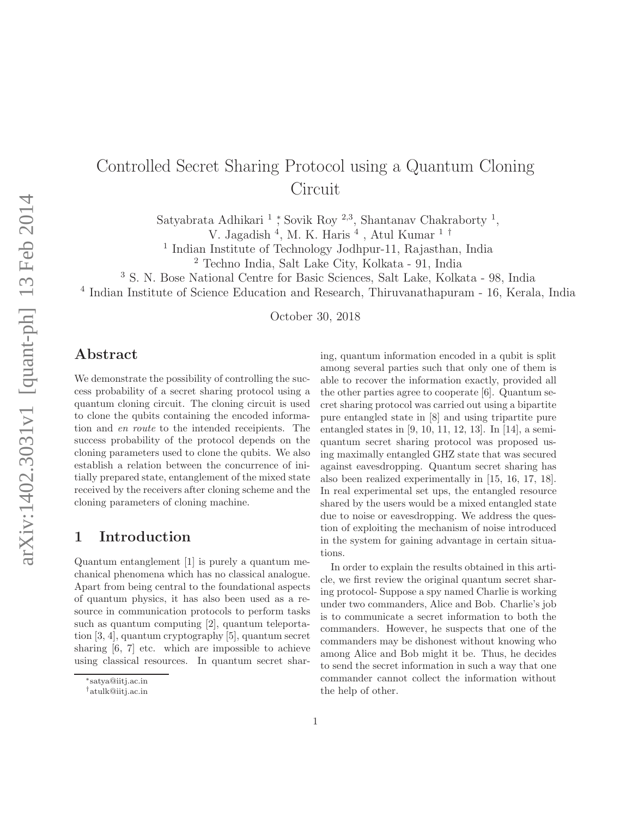# Controlled Secret Sharing Protocol using a Quantum Cloning **Circuit**

Satyabrata Adhikari <sup>1</sup>,\* Sovik Roy<sup>2,3</sup>, Shantanav Chakraborty<sup>1</sup>,

V. Jagadish <sup>4</sup>, M. K. Haris <sup>4</sup>, Atul Kumar <sup>1</sup><sup>†</sup>

<sup>1</sup> Indian Institute of Technology Jodhpur-11, Rajasthan, India

<sup>2</sup> Techno India, Salt Lake City, Kolkata - 91, India

<sup>3</sup> S. N. Bose National Centre for Basic Sciences, Salt Lake, Kolkata - 98, India

4 Indian Institute of Science Education and Research, Thiruvanathapuram - 16, Kerala, India

October 30, 2018

### Abstract

We demonstrate the possibility of controlling the success probability of a secret sharing protocol using a quantum cloning circuit. The cloning circuit is used to clone the qubits containing the encoded information and en route to the intended receipients. The success probability of the protocol depends on the cloning parameters used to clone the qubits. We also establish a relation between the concurrence of initially prepared state, entanglement of the mixed state received by the receivers after cloning scheme and the cloning parameters of cloning machine.

### 1 Introduction

Quantum entanglement [1] is purely a quantum mechanical phenomena which has no classical analogue. Apart from being central to the foundational aspects of quantum physics, it has also been used as a resource in communication protocols to perform tasks such as quantum computing [2], quantum teleportation [3, 4], quantum cryptography [5], quantum secret sharing [6, 7] etc. which are impossible to achieve using classical resources. In quantum secret sharing, quantum information encoded in a qubit is split among several parties such that only one of them is able to recover the information exactly, provided all the other parties agree to cooperate [6]. Quantum secret sharing protocol was carried out using a bipartite pure entangled state in [8] and using tripartite pure entangled states in [9, 10, 11, 12, 13]. In [14], a semiquantum secret sharing protocol was proposed using maximally entangled GHZ state that was secured against eavesdropping. Quantum secret sharing has also been realized experimentally in [15, 16, 17, 18]. In real experimental set ups, the entangled resource shared by the users would be a mixed entangled state due to noise or eavesdropping. We address the question of exploiting the mechanism of noise introduced in the system for gaining advantage in certain situations.

In order to explain the results obtained in this article, we first review the original quantum secret sharing protocol- Suppose a spy named Charlie is working under two commanders, Alice and Bob. Charlie's job is to communicate a secret information to both the commanders. However, he suspects that one of the commanders may be dishonest without knowing who among Alice and Bob might it be. Thus, he decides to send the secret information in such a way that one commander cannot collect the information without the help of other.

<sup>∗</sup> satya@iitj.ac.in

<sup>†</sup>atulk@iitj.ac.in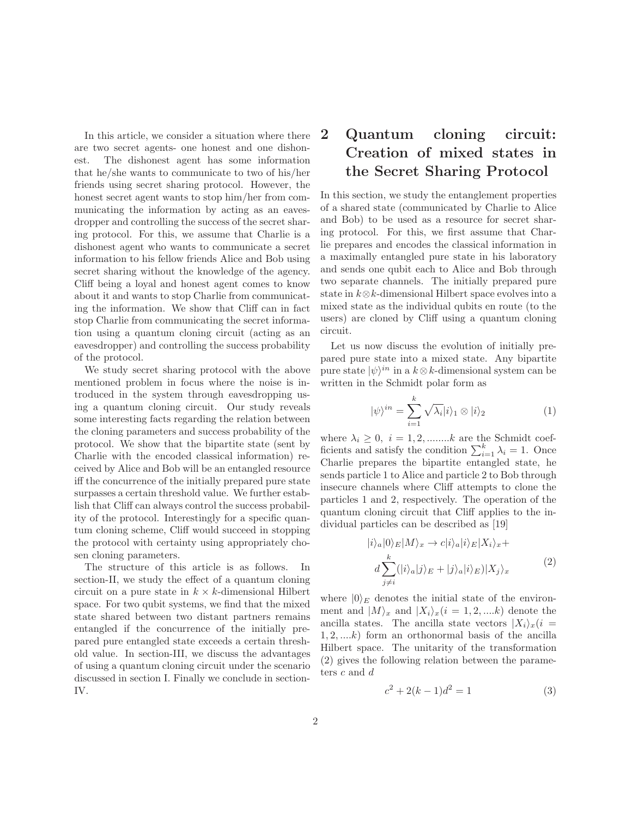In this article, we consider a situation where there are two secret agents- one honest and one dishonest. The dishonest agent has some information that he/she wants to communicate to two of his/her friends using secret sharing protocol. However, the honest secret agent wants to stop him/her from communicating the information by acting as an eavesdropper and controlling the success of the secret sharing protocol. For this, we assume that Charlie is a dishonest agent who wants to communicate a secret information to his fellow friends Alice and Bob using secret sharing without the knowledge of the agency. Cliff being a loyal and honest agent comes to know about it and wants to stop Charlie from communicating the information. We show that Cliff can in fact stop Charlie from communicating the secret information using a quantum cloning circuit (acting as an eavesdropper) and controlling the success probability of the protocol.

We study secret sharing protocol with the above mentioned problem in focus where the noise is introduced in the system through eavesdropping using a quantum cloning circuit. Our study reveals some interesting facts regarding the relation between the cloning parameters and success probability of the protocol. We show that the bipartite state (sent by Charlie with the encoded classical information) received by Alice and Bob will be an entangled resource iff the concurrence of the initially prepared pure state surpasses a certain threshold value. We further establish that Cliff can always control the success probability of the protocol. Interestingly for a specific quantum cloning scheme, Cliff would succeed in stopping the protocol with certainty using appropriately chosen cloning parameters.

The structure of this article is as follows. In section-II, we study the effect of a quantum cloning circuit on a pure state in  $k \times k$ -dimensional Hilbert space. For two qubit systems, we find that the mixed state shared between two distant partners remains entangled if the concurrence of the initially prepared pure entangled state exceeds a certain threshold value. In section-III, we discuss the advantages of using a quantum cloning circuit under the scenario discussed in section I. Finally we conclude in section-IV.

## 2 Quantum cloning circuit: Creation of mixed states in the Secret Sharing Protocol

In this section, we study the entanglement properties of a shared state (communicated by Charlie to Alice and Bob) to be used as a resource for secret sharing protocol. For this, we first assume that Charlie prepares and encodes the classical information in a maximally entangled pure state in his laboratory and sends one qubit each to Alice and Bob through two separate channels. The initially prepared pure state in k⊗k-dimensional Hilbert space evolves into a mixed state as the individual qubits en route (to the users) are cloned by Cliff using a quantum cloning circuit.

Let us now discuss the evolution of initially prepared pure state into a mixed state. Any bipartite pure state  $|\psi\rangle^{in}$  in a  $k \otimes k$ -dimensional system can be written in the Schmidt polar form as

$$
|\psi\rangle^{in} = \sum_{i=1}^{k} \sqrt{\lambda_i} |i\rangle_1 \otimes |i\rangle_2 \tag{1}
$$

where  $\lambda_i \geq 0, i = 1, 2, \dots, k$  are the Schmidt coefficients and satisfy the condition  $\sum_{i=1}^{k} \lambda_i = 1$ . Once Charlie prepares the bipartite entangled state, he sends particle 1 to Alice and particle 2 to Bob through insecure channels where Cliff attempts to clone the particles 1 and 2, respectively. The operation of the quantum cloning circuit that Cliff applies to the individual particles can be described as [19]

$$
|i\rangle_a|0\rangle_E|M\rangle_x \to c|i\rangle_a|i\rangle_E|X_i\rangle_x +
$$
  

$$
d\sum_{j\neq i}^k (|i\rangle_a|j\rangle_E + |j\rangle_a|i\rangle_E)|X_j\rangle_x
$$
 (2)

where  $|0\rangle_E$  denotes the initial state of the environment and  $|M\rangle_x$  and  $|X_i\rangle_x$  (i = 1, 2, ....k) denote the ancilla states. The ancilla state vectors  $|X_i\rangle_x$  (i =  $1, 2, \ldots k$ ) form an orthonormal basis of the ancilla Hilbert space. The unitarity of the transformation (2) gives the following relation between the parameters c and d

$$
c^2 + 2(k - 1)d^2 = 1
$$
 (3)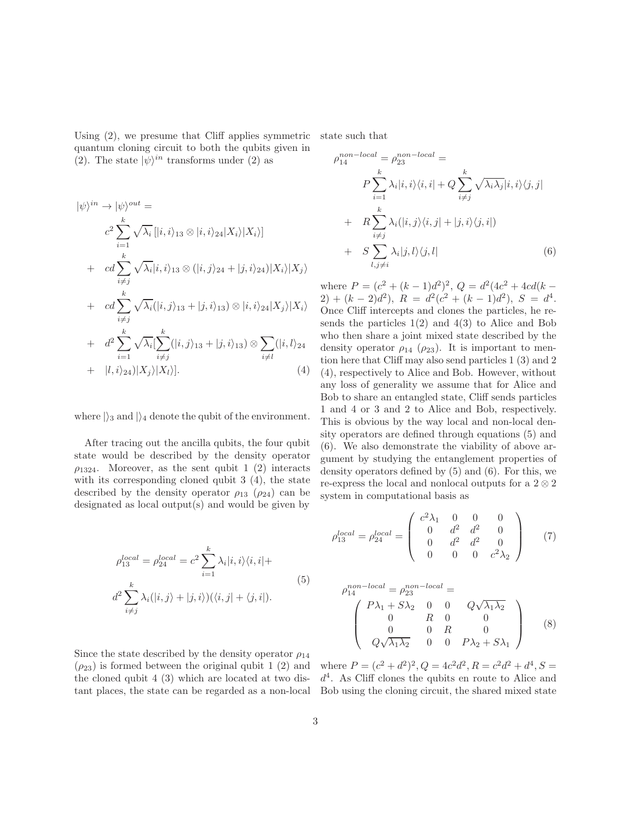Using (2), we presume that Cliff applies symmetric quantum cloning circuit to both the qubits given in (2). The state  $|\psi\rangle^{in}$  transforms under (2) as

$$
|\psi\rangle^{in} \rightarrow |\psi\rangle^{out} =
$$
\n
$$
c^{2} \sum_{i=1}^{k} \sqrt{\lambda_{i}} \left[ |i, i\rangle_{13} \otimes |i, i\rangle_{24} |X_{i}\rangle |X_{i}\rangle \right]
$$
\n+ 
$$
cd \sum_{i \neq j}^{k} \sqrt{\lambda_{i}} |i, i\rangle_{13} \otimes (|i, j\rangle_{24} + |j, i\rangle_{24}) |X_{i}\rangle |X_{j}\rangle
$$
\n+ 
$$
cd \sum_{i \neq j}^{k} \sqrt{\lambda_{i}} (|i, j\rangle_{13} + |j, i\rangle_{13}) \otimes |i, i\rangle_{24} |X_{j}\rangle |X_{i}\rangle
$$
\n+ 
$$
d^{2} \sum_{i=1}^{k} \sqrt{\lambda_{i}} \left[ \sum_{i \neq j}^{k} (|i, j\rangle_{13} + |j, i\rangle_{13}) \otimes \sum_{i \neq l} (|i, l\rangle_{24} + |l, i\rangle_{24}) |X_{j}\rangle |X_{l}\rangle \right].
$$
\n(4)

where  $\vert$ <sub>3</sub> and  $\vert$ <sub>4</sub> denote the qubit of the environment.

After tracing out the ancilla qubits, the four qubit state would be described by the density operator  $\rho_{1324}$ . Moreover, as the sent qubit 1 (2) interacts with its corresponding cloned qubit 3 (4), the state described by the density operator  $\rho_{13}$  ( $\rho_{24}$ ) can be designated as local output(s) and would be given by

$$
\rho_{13}^{local} = \rho_{24}^{local} = c^2 \sum_{i=1}^{k} \lambda_i |i, i\rangle \langle i, i| +
$$
  

$$
d^2 \sum_{i \neq j}^{k} \lambda_i (|i, j\rangle + |j, i\rangle) (\langle i, j| + \langle j, i|).
$$
 (5)

Since the state described by the density operator  $\rho_{14}$  $(\rho_{23})$  is formed between the original qubit 1 (2) and the cloned qubit 4 (3) which are located at two disstate such that

$$
\rho_{14}^{non-local} = \rho_{23}^{non-local} =
$$
\n
$$
P \sum_{i=1}^{k} \lambda_i |i, i\rangle \langle i, i| + Q \sum_{i \neq j}^{k} \sqrt{\lambda_i \lambda_j} |i, i\rangle \langle j, j|
$$
\n
$$
+ R \sum_{i \neq j}^{k} \lambda_i (|i, j\rangle \langle i, j| + |j, i\rangle \langle j, i|)
$$
\n
$$
+ S \sum_{l, j \neq i} \lambda_i |j, l\rangle \langle j, l|
$$
\n(6)

where  $P = (c^2 + (k-1)d^2)^2$ ,  $Q = d^2(4c^2 + 4cd(k-1)d^2)$  $2) + (k-2)d^2$ ,  $R = d^2(c^2 + (k-1)d^2)$ ,  $S = d^4$ . Once Cliff intercepts and clones the particles, he resends the particles  $1(2)$  and  $4(3)$  to Alice and Bob who then share a joint mixed state described by the density operator  $\rho_{14}$  ( $\rho_{23}$ ). It is important to mention here that Cliff may also send particles 1 (3) and 2 (4), respectively to Alice and Bob. However, without any loss of generality we assume that for Alice and Bob to share an entangled state, Cliff sends particles 1 and 4 or 3 and 2 to Alice and Bob, respectively. This is obvious by the way local and non-local density operators are defined through equations (5) and (6). We also demonstrate the viability of above argument by studying the entanglement properties of density operators defined by (5) and (6). For this, we re-express the local and nonlocal outputs for a  $2 \otimes 2$ system in computational basis as

$$
\rho_{13}^{local} = \rho_{24}^{local} = \begin{pmatrix} c^2 \lambda_1 & 0 & 0 & 0 \\ 0 & d^2 & d^2 & 0 \\ 0 & d^2 & d^2 & 0 \\ 0 & 0 & 0 & c^2 \lambda_2 \end{pmatrix}
$$
 (7)

$$
\rho_{14}^{non-local} = \rho_{23}^{non-local} =
$$
\n
$$
\begin{pmatrix}\nP\lambda_1 + S\lambda_2 & 0 & 0 & Q\sqrt{\lambda_1\lambda_2} \\
0 & R & 0 & 0 \\
0 & 0 & R & 0 \\
Q\sqrt{\lambda_1\lambda_2} & 0 & 0 & P\lambda_2 + S\lambda_1\n\end{pmatrix}
$$
\n(8)

tant places, the state can be regarded as a non-local Bob using the cloning circuit, the shared mixed state where  $P = (c^2 + d^2)^2$ ,  $Q = 4c^2d^2$ ,  $R = c^2d^2 + d^4$ ,  $S =$  $d^4$ . As Cliff clones the qubits en route to Alice and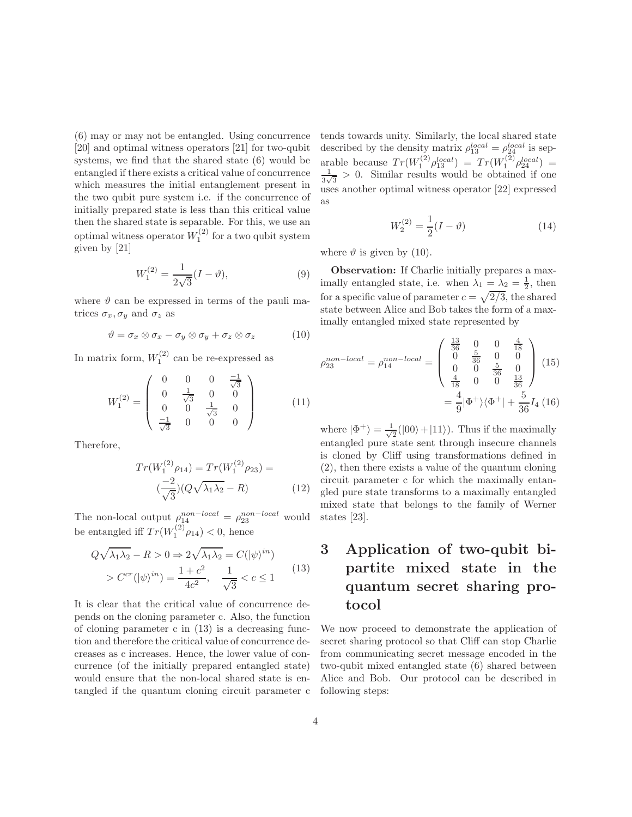(6) may or may not be entangled. Using concurrence [20] and optimal witness operators [21] for two-qubit systems, we find that the shared state (6) would be entangled if there exists a critical value of concurrence which measures the initial entanglement present in the two qubit pure system i.e. if the concurrence of initially prepared state is less than this critical value then the shared state is separable. For this, we use an optimal witness operator  $W_1^{(2)}$  for a two qubit system given by [21]

$$
W_1^{(2)} = \frac{1}{2\sqrt{3}}(I - \vartheta),\tag{9}
$$

where  $\vartheta$  can be expressed in terms of the pauli matrices  $\sigma_x, \sigma_y$  and  $\sigma_z$  as

$$
\vartheta = \sigma_x \otimes \sigma_x - \sigma_y \otimes \sigma_y + \sigma_z \otimes \sigma_z \tag{10}
$$

In matrix form,  $W_1^{(2)}$  can be re-expressed as

$$
W_1^{(2)} = \begin{pmatrix} 0 & 0 & 0 & \frac{-1}{\sqrt{3}} \\ 0 & \frac{1}{\sqrt{3}} & 0 & 0 \\ 0 & 0 & \frac{1}{\sqrt{3}} & 0 \\ \frac{-1}{\sqrt{3}} & 0 & 0 & 0 \end{pmatrix}
$$
 (11)

Therefore,

$$
Tr(W_1^{(2)}\rho_{14}) = Tr(W_1^{(2)}\rho_{23}) =
$$
  

$$
(\frac{-2}{\sqrt{3}})(Q\sqrt{\lambda_1\lambda_2} - R)
$$
 (12)

The non-local output  $\rho_{14}^{non-local} = \rho_{23}^{non-local}$  would be entangled iff  $Tr(W_1^{(2)} \rho_{14}) < 0$ , hence

$$
Q\sqrt{\lambda_1\lambda_2} - R > 0 \Rightarrow 2\sqrt{\lambda_1\lambda_2} = C(|\psi\rangle^{in})
$$
  
> 
$$
C^{cr}(|\psi\rangle^{in}) = \frac{1+c^2}{4c^2}, \quad \frac{1}{\sqrt{3}} < c \le 1
$$
 (13)

It is clear that the critical value of concurrence depends on the cloning parameter c. Also, the function of cloning parameter c in (13) is a decreasing function and therefore the critical value of concurrence decreases as c increases. Hence, the lower value of concurrence (of the initially prepared entangled state) would ensure that the non-local shared state is entangled if the quantum cloning circuit parameter c tends towards unity. Similarly, the local shared state described by the density matrix  $\rho_{13}^{local} = \rho_{24}^{local}$  is separable because  $Tr(W_1^{(2)} \rho_{13}^{local}) = Tr(W_1^{(2)} \rho_{24}^{local}) =$ <br> $\frac{1}{2} > 0$  Similar results would be obtained if one  $\frac{1}{3\sqrt{3}} > 0$ . Similar results would be obtained if one uses another optimal witness operator [22] expressed as

$$
W_2^{(2)} = \frac{1}{2}(I - \vartheta)
$$
 (14)

where  $\vartheta$  is given by (10).

Observation: If Charlie initially prepares a maximally entangled state, i.e. when  $\lambda_1 = \lambda_2 = \frac{1}{2}$ , then for a specific value of parameter  $c = \sqrt{2/3}$ , the shared state between Alice and Bob takes the form of a maximally entangled mixed state represented by

$$
\rho_{23}^{non-local} = \rho_{14}^{non-local} = \begin{pmatrix} \frac{13}{36} & 0 & 0 & \frac{4}{18} \\ 0 & \frac{5}{36} & 0 & 0 \\ 0 & 0 & \frac{5}{36} & 0 \\ \frac{4}{18} & 0 & 0 & \frac{13}{36} \end{pmatrix} (15)
$$

$$
= \frac{4}{9} |\Phi^+\rangle\langle\Phi^+| + \frac{5}{36} I_4 (16)
$$

where  $|\Phi^+\rangle = \frac{1}{\sqrt{2}}$  $\frac{1}{2}(|00\rangle+|11\rangle)$ . Thus if the maximally entangled pure state sent through insecure channels is cloned by Cliff using transformations defined in (2), then there exists a value of the quantum cloning circuit parameter c for which the maximally entangled pure state transforms to a maximally entangled mixed state that belongs to the family of Werner states [23].

## 3 Application of two-qubit bipartite mixed state in the quantum secret sharing protocol

We now proceed to demonstrate the application of secret sharing protocol so that Cliff can stop Charlie from communicating secret message encoded in the two-qubit mixed entangled state (6) shared between Alice and Bob. Our protocol can be described in following steps: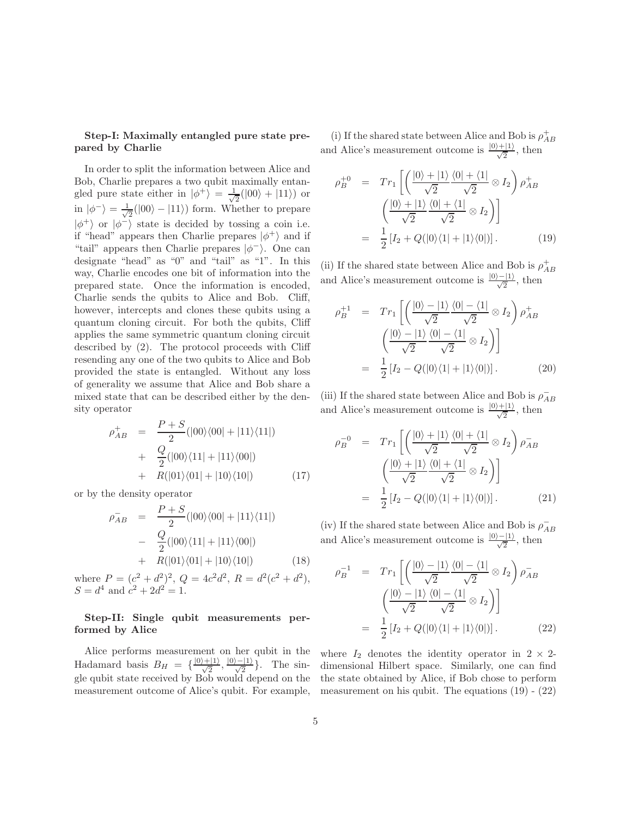#### Step-I: Maximally entangled pure state prepared by Charlie

In order to split the information between Alice and Bob, Charlie prepares a two qubit maximally entangled pure state either in  $|\phi^+\rangle = \frac{1}{\sqrt{2}}$  $\frac{1}{2}(|00\rangle + |11\rangle)$  or in  $|\phi^{-}\rangle = \frac{1}{\sqrt{2}}$  $\frac{1}{2}(|00\rangle - |11\rangle)$  form. Whether to prepare  $|\phi^+\rangle$  or  $|\phi^-\rangle$  state is decided by tossing a coin i.e. if "head" appears then Charlie prepares  $|\phi^+\rangle$  and if "tail" appears then Charlie prepares  $|\phi^{-}\rangle$ . One can designate "head" as "0" and "tail" as "1". In this way, Charlie encodes one bit of information into the prepared state. Once the information is encoded, Charlie sends the qubits to Alice and Bob. Cliff, however, intercepts and clones these qubits using a quantum cloning circuit. For both the qubits, Cliff applies the same symmetric quantum cloning circuit described by (2). The protocol proceeds with Cliff resending any one of the two qubits to Alice and Bob provided the state is entangled. Without any loss of generality we assume that Alice and Bob share a mixed state that can be described either by the density operator

$$
\rho_{AB}^{+} = \frac{P+S}{2}(|00\rangle\langle00|+|11\rangle\langle11|)
$$
  
+ 
$$
\frac{Q}{2}(|00\rangle\langle11|+|11\rangle\langle00|)
$$
  
+ 
$$
R(|01\rangle\langle01|+|10\rangle\langle10|)
$$
 (17)

or by the density operator

$$
\rho_{AB}^{-} = \frac{P+S}{2}(|00\rangle\langle00|+|11\rangle\langle11|)
$$

$$
-\frac{Q}{2}(|00\rangle\langle11|+|11\rangle\langle00|)
$$

$$
+\quad R(|01\rangle\langle01|+|10\rangle\langle10|) \tag{18}
$$

where  $P = (c^2 + d^2)^2$ ,  $Q = 4c^2d^2$ ,  $R = d^2(c^2 + d^2)$ ,  $S = d^4$  and  $c^2 + 2d^2 = 1$ .

#### Step-II: Single qubit measurements performed by Alice

Alice performs measurement on her qubit in the Hadamard basis  $B_H = \{\frac{|0\rangle + |1\rangle}{\sqrt{2}}, \frac{|0\rangle - |1\rangle}{\sqrt{2}}\}.$  The single qubit state received by Bob would depend on the measurement outcome of Alice's qubit. For example, (i) If the shared state between Alice and Bob is  $\rho_{AB}^+$ <br>and Alice's measurement outcome is  $\frac{|0\rangle+|1\rangle}{\sqrt{2}}$ , then

$$
\rho_B^{+0} = Tr_1 \left[ \left( \frac{|0\rangle + |1\rangle}{\sqrt{2}} \frac{\langle 0| + \langle 1|}{\sqrt{2}} \otimes I_2 \right) \rho_{AB}^+ \right] \n\left( \frac{|0\rangle + |1\rangle}{\sqrt{2}} \frac{\langle 0| + \langle 1|}{\sqrt{2}} \otimes I_2 \right) \right] \n= \frac{1}{2} \left[ I_2 + Q(|0\rangle\langle 1| + |1\rangle\langle 0|) \right].
$$
\n(19)

(ii) If the shared state between Alice and Bob is  $\rho_{AB}^{+}$ and Alice's measurement outcome is  $\frac{|0\rangle-|1\rangle}{\sqrt{2}}$ , then

$$
\rho_B^{+1} = Tr_1 \left[ \left( \frac{|0\rangle - |1\rangle \langle 0| - \langle 1|}{\sqrt{2}} \otimes I_2 \right) \rho_{AB}^+ \right] \n\left( \frac{|0\rangle - |1\rangle \langle 0| - \langle 1|}{\sqrt{2}} \otimes I_2 \right) \right] \n= \frac{1}{2} \left[ I_2 - Q(|0\rangle \langle 1| + |1\rangle \langle 0|) \right].
$$
\n(20)

(iii) If the shared state between Alice and Bob is  $\rho_{AB}^$ and Alice's measurement outcome is  $\frac{|0\rangle+|1\rangle}{\sqrt{2}}$ , then

$$
\rho_B^{-0} = Tr_1 \left[ \left( \frac{|0\rangle + |1\rangle \langle 0| + \langle 1|}{\sqrt{2}} \otimes I_2 \right) \rho_{AB}^{-1} \right] \left( \frac{|0\rangle + |1\rangle \langle 0| + \langle 1|}{\sqrt{2}} \otimes I_2 \right) \right]
$$

$$
= \frac{1}{2} \left[ I_2 - Q(|0\rangle \langle 1| + |1\rangle \langle 0|) \right]. \tag{21}
$$

(iv) If the shared state between Alice and Bob is  $\rho_{AB}^$ and Alice's measurement outcome is  $\frac{|0\rangle-|1\rangle}{\sqrt{2}}$ , then

$$
\rho_B^{-1} = Tr_1 \left[ \left( \frac{|0\rangle - |1\rangle \langle 0| - \langle 1|}{\sqrt{2}} \otimes I_2 \right) \rho_{AB}^{-1} \right]
$$

$$
\left( \frac{|0\rangle - |1\rangle \langle 0| - \langle 1|}{\sqrt{2}} \otimes I_2 \right) \right]
$$

$$
= \frac{1}{2} \left[ I_2 + Q(|0\rangle \langle 1| + |1\rangle \langle 0|) \right]. \tag{22}
$$

where  $I_2$  denotes the identity operator in  $2 \times 2$ dimensional Hilbert space. Similarly, one can find the state obtained by Alice, if Bob chose to perform measurement on his qubit. The equations  $(19)$  -  $(22)$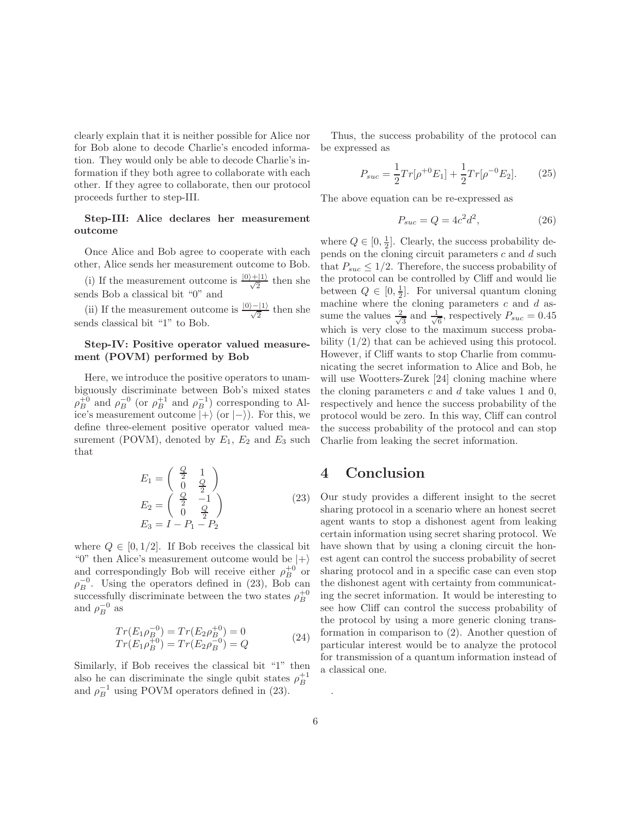clearly explain that it is neither possible for Alice nor for Bob alone to decode Charlie's encoded information. They would only be able to decode Charlie's information if they both agree to collaborate with each other. If they agree to collaborate, then our protocol proceeds further to step-III.

#### Step-III: Alice declares her measurement outcome

Once Alice and Bob agree to cooperate with each other, Alice sends her measurement outcome to Bob.

(i) If the measurement outcome is  $\frac{|0\rangle+|1\rangle}{\sqrt{2}}$  then she sends Bob a classical bit "0" and

(ii) If the measurement outcome is  $\frac{|0\rangle - |1\rangle}{\sqrt{2}}$  then she sends classical bit "1" to Bob.

#### Step-IV: Positive operator valued measurement (POVM) performed by Bob

Here, we introduce the positive operators to unambiguously discriminate between Bob's mixed states  $\rho_B^{+0}$  and  $\rho_B^{-0}$  (or  $\rho_B^{+1}$  and  $\rho_B^{-1}$ ) corresponding to Alice's measurement outcome  $\overline{+}\rangle$  (or  $\vert -\rangle$ ). For this, we define three-element positive operator valued measurement (POVM), denoted by  $E_1$ ,  $E_2$  and  $E_3$  such that

$$
E_1 = \begin{pmatrix} \frac{Q}{2} & 1\\ 0 & \frac{Q}{2} \end{pmatrix}
$$
  
\n
$$
E_2 = \begin{pmatrix} \frac{Q}{2} & -1\\ 0 & \frac{Q}{2} \end{pmatrix}
$$
  
\n
$$
E_3 = I - P_1 - P_2
$$
\n(23)

where  $Q \in [0, 1/2]$ . If Bob receives the classical bit "0" then Alice's measurement outcome would be  $|+\rangle$ and correspondingly Bob will receive either  $\rho_B^{+0}$  or  $\rho_B^{-0}$ . Using the operators defined in (23), Bob can successfully discriminate between the two states  $\rho_B^{+0}$  and  $\rho_B^{-0}$  as

$$
Tr(E_1 \rho_B^{-0}) = Tr(E_2 \rho_B^{+0}) = 0
$$
  
\n
$$
Tr(E_1 \rho_B^{+0}) = Tr(E_2 \rho_B^{-0}) = Q
$$
\n(24)

Similarly, if Bob receives the classical bit "1" then also he can discriminate the single qubit states  $\rho_B^{-1}$ and  $\rho_B^{-1}$  using POVM operators defined in (23).

Thus, the success probability of the protocol can be expressed as

$$
P_{suc} = \frac{1}{2} Tr[\rho^{+0} E_1] + \frac{1}{2} Tr[\rho^{-0} E_2].
$$
 (25)

The above equation can be re-expressed as

$$
P_{suc} = Q = 4c^2 d^2,\tag{26}
$$

where  $Q \in [0, \frac{1}{2}]$ . Clearly, the success probability depends on the cloning circuit parameters  $c$  and  $d$  such that  $P_{suc} \leq 1/2$ . Therefore, the success probability of the protocol can be controlled by Cliff and would lie between  $Q \in [0, \frac{1}{2}]$ . For universal quantum cloning machine where the cloning parameters c and d assume the values  $\frac{2}{\sqrt{2}}$  $\frac{1}{3}$  and  $\frac{1}{\sqrt{2}}$  $\frac{1}{6}$ , respectively  $P_{suc} = 0.45$ which is very close to the maximum success probability  $(1/2)$  that can be achieved using this protocol. However, if Cliff wants to stop Charlie from communicating the secret information to Alice and Bob, he will use Wootters-Zurek [24] cloning machine where the cloning parameters  $c$  and  $d$  take values 1 and 0, respectively and hence the success probability of the protocol would be zero. In this way, Cliff can control the success probability of the protocol and can stop Charlie from leaking the secret information.

## 4 Conclusion

Our study provides a different insight to the secret sharing protocol in a scenario where an honest secret agent wants to stop a dishonest agent from leaking certain information using secret sharing protocol. We have shown that by using a cloning circuit the honest agent can control the success probability of secret sharing protocol and in a specific case can even stop the dishonest agent with certainty from communicating the secret information. It would be interesting to see how Cliff can control the success probability of the protocol by using a more generic cloning transformation in comparison to (2). Another question of particular interest would be to analyze the protocol for transmission of a quantum information instead of a classical one.

.